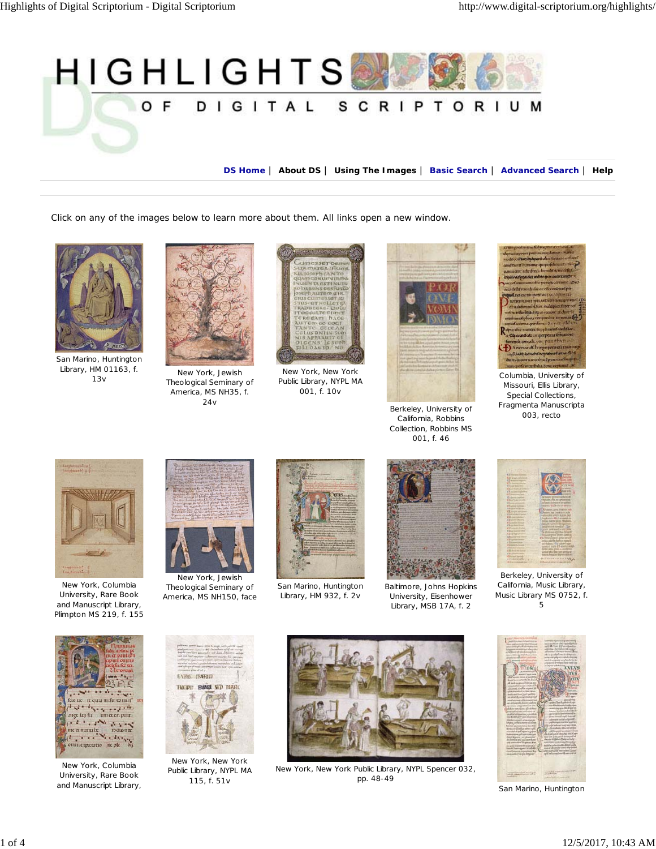

**DS Home** | **About DS** | **Using The Images** | **Basic Search** | **Advanced Search** | **Help**

Click on any of the images below to learn more about them. All links open a new window.



San Marino, Huntington Library, HM 01163, f. 13v



New York, Jewish Theological Seminary of America, MS NH35, f. 24v



New York, New York Public Library, NYPL MA 001, f. 10v



Berkeley, University of California, Robbins Collection, Robbins MS 001, f. 46



Columbia, University of Missouri, Ellis Library, Special Collections, Fragmenta Manuscripta 003, recto



New York, Columbia University, Rare Book and Manuscript Library, Plimpton MS 219, f. 155



Theological Seminary of America, MS NH150, face



San Marino, Huntington Library, HM 932, f. 2v



Baltimore, Johns Hopkins University, Eisenhower Library, MSB 17A, f. 2



Berkeley, University of California, Music Library, Music Library MS 0752, f. 5



New York, Columbia University, Rare Book and Manuscript Library,



New York, New York Public Library, NYPL MA 115, f. 51v



New York, New York Public Library, NYPL Spencer 032, pp. 48-49



San Marino, Huntington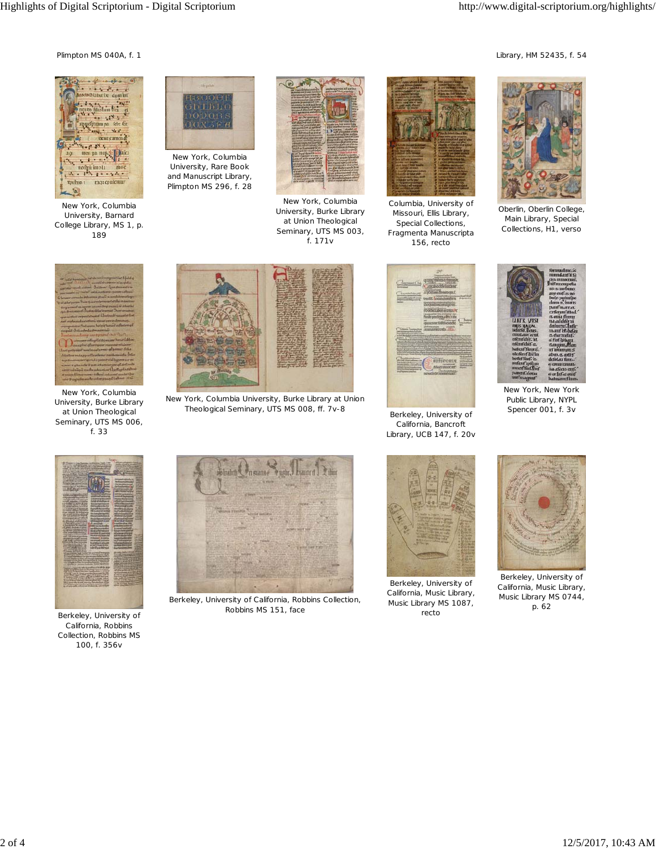



New York, Columbia University, Barnard College Library, MS 1, p. 189



University, Rare Book and Manuscript Library, Plimpton MS 296, f. 28



New York, Columbia University, Burke Library at Union Theological Seminary, UTS MS 003, f. 171v



Columbia, University of Missouri, Ellis Library, Special Collections, Fragmenta Manuscripta 156, recto



Oberlin, Oberlin College, Main Library, Special Collections, H1, verso



New York, Columbia University, Burke Library at Union Theological Seminary, UTS MS 006, f. 33



Berkeley, University of California, Robbins Collection, Robbins MS 100, f. 356v



New York, Columbia University, Burke Library at Union Theological Seminary, UTS MS 008, ff. 7v-8 Berkeley, University of



Berkeley, University of California, Robbins Collection, Robbins MS 151, face



California, Bancroft Library, UCB 147, f. 20v



Berkeley, University of California, Music Library, Music Library MS 1087, recto



New York, New York Public Library, NYPL Spencer 001, f. 3v



Berkeley, University of California, Music Library, Music Library MS 0744, p. 62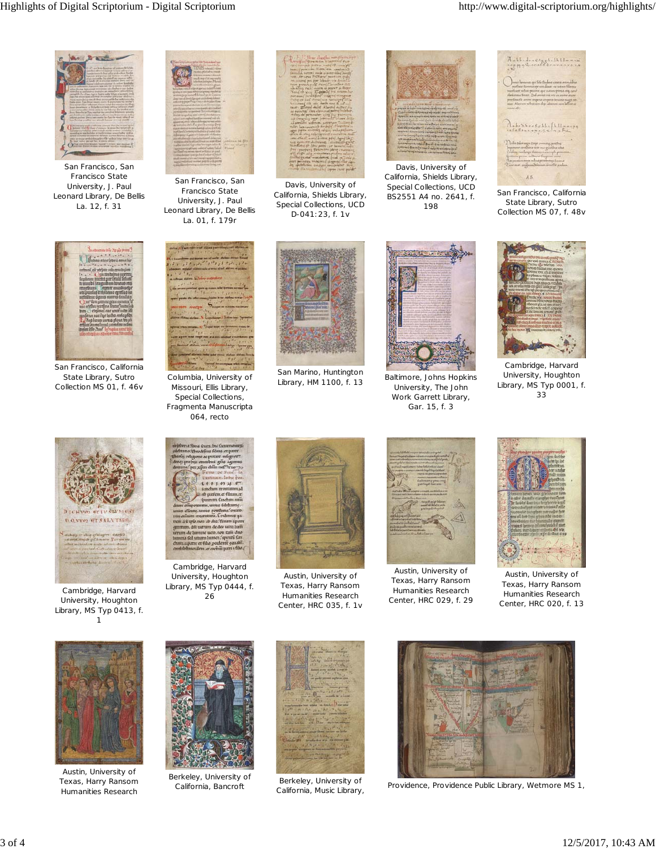

San Francisco, San Francisco State University, J. Paul Leonard Library, De Bellis La. 12, f. 31



San Francisco, San Francisco State University, J. Paul Leonard Library, De Bellis La. 01, f. 179r



Davis, University of California, Shields Library, Special Collections, UCD D-041:23, f. 1v



Davis, University of California, Shields Library, Special Collections, UCD BS2551 A4 no. 2641, f. 198



San Francisco, California State Library, Sutro Collection MS 07, f. 48v



San Francisco, California State Library, Sutro Collection MS 01, f. 46v



Columbia, University of Missouri, Ellis Library, Special Collections, Fragmenta Manuscripta 064, recto



San Marino, Huntington



Library, HM 1100, f. 13 Baltimore, Johns Hopkins University, The John Work Garrett Library, Gar. 15, f. 3



Cambridge, Harvard University, Houghton Library, MS Typ 0001, f. 33



Cambridge, Harvard University, Houghton Library, MS Typ 0413, f. 1



Cambridge, Harvard University, Houghton Library, MS Typ 0444, f. 26



Austin, University of Texas, Harry Ransom Humanities Research Center, HRC 035, f. 1v



Austin, University of Texas, Harry Ransom Humanities Research Center, HRC 029, f. 29



Austin, University of Texas, Harry Ransom Humanities Research Center, HRC 020, f. 13



Austin, University of Texas, Harry Ransom Humanities Research



Berkeley, University of



erkeley, University of Berkeley, University of<br>California, Bancroft California, Music Library,



Providence, Providence Public Library, Wetmore MS 1,